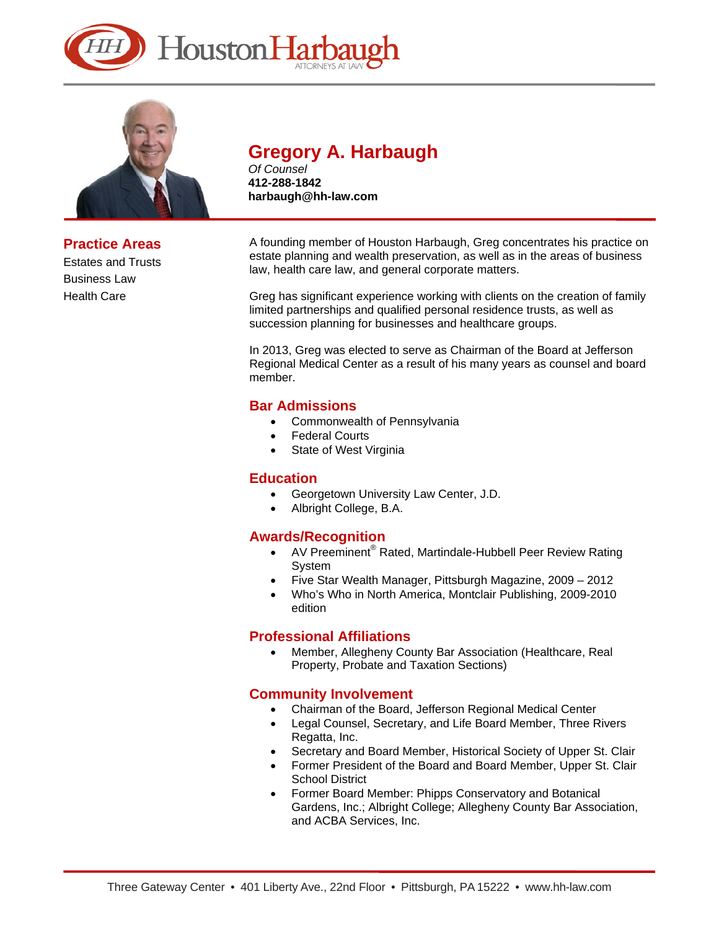



**Practice Areas**  Estates and Trusts Business Law Health Care

# **Gregory A. Harbaugh**

*Of Counsel*  **412-288-1842 harbaugh@hh-law.com** 

A founding member of Houston Harbaugh, Greg concentrates his practice on estate planning and wealth preservation, as well as in the areas of business law, health care law, and general corporate matters.

Greg has significant experience working with clients on the creation of family limited partnerships and qualified personal residence trusts, as well as succession planning for businesses and healthcare groups.

In 2013, Greg was elected to serve as Chairman of the Board at Jefferson Regional Medical Center as a result of his many years as counsel and board member.

# **Bar Admissions**

- Commonwealth of Pennsylvania
- Federal Courts
- State of West Virginia

# **Education**

- Georgetown University Law Center, J.D.
- Albright College, B.A.

# **Awards/Recognition**

- AV Preeminent<sup>®</sup> Rated, Martindale-Hubbell Peer Review Rating System
- Five Star Wealth Manager, Pittsburgh Magazine, 2009 2012
- Who's Who in North America, Montclair Publishing, 2009-2010 edition

# **Professional Affiliations**

 Member, Allegheny County Bar Association (Healthcare, Real Property, Probate and Taxation Sections)

# **Community Involvement**

- Chairman of the Board, Jefferson Regional Medical Center
- Legal Counsel, Secretary, and Life Board Member, Three Rivers Regatta, Inc.
- Secretary and Board Member, Historical Society of Upper St. Clair
- Former President of the Board and Board Member, Upper St. Clair School District
- Former Board Member: Phipps Conservatory and Botanical Gardens, Inc.; Albright College; Allegheny County Bar Association, and ACBA Services, Inc.